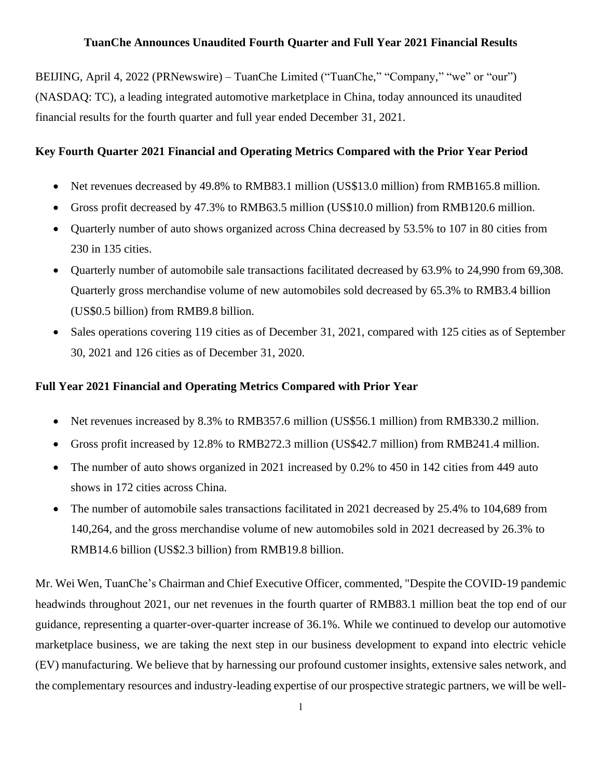# **TuanChe Announces Unaudited Fourth Quarter and Full Year 2021 Financial Results**

BEIJING, April 4, 2022 (PRNewswire) – TuanChe Limited ("TuanChe," "Company," "we" or "our") (NASDAQ: TC), a leading integrated automotive marketplace in China, today announced its unaudited financial results for the fourth quarter and full year ended December 31, 2021.

# **Key Fourth Quarter 2021 Financial and Operating Metrics Compared with the Prior Year Period**

- Net revenues decreased by 49.8% to RMB83.1 million (US\$13.0 million) from RMB165.8 million.
- Gross profit decreased by 47.3% to RMB63.5 million (US\$10.0 million) from RMB120.6 million.
- Ouarterly number of auto shows organized across China decreased by 53.5% to 107 in 80 cities from 230 in 135 cities.
- Quarterly number of automobile sale transactions facilitated decreased by 63.9% to 24,990 from 69,308. Quarterly gross merchandise volume of new automobiles sold decreased by 65.3% to RMB3.4 billion (US\$0.5 billion) from RMB9.8 billion.
- Sales operations covering 119 cities as of December 31, 2021, compared with 125 cities as of September 30, 2021 and 126 cities as of December 31, 2020.

# **Full Year 2021 Financial and Operating Metrics Compared with Prior Year**

- Net revenues increased by 8.3% to RMB357.6 million (US\$56.1 million) from RMB330.2 million.
- Gross profit increased by 12.8% to RMB272.3 million (US\$42.7 million) from RMB241.4 million.
- The number of auto shows organized in 2021 increased by 0.2% to 450 in 142 cities from 449 auto shows in 172 cities across China.
- The number of automobile sales transactions facilitated in 2021 decreased by 25.4% to 104,689 from 140,264, and the gross merchandise volume of new automobiles sold in 2021 decreased by 26.3% to RMB14.6 billion (US\$2.3 billion) from RMB19.8 billion.

Mr. Wei Wen, TuanChe's Chairman and Chief Executive Officer, commented, "Despite the COVID-19 pandemic headwinds throughout 2021, our net revenues in the fourth quarter of RMB83.1 million beat the top end of our guidance, representing a quarter-over-quarter increase of 36.1%. While we continued to develop our automotive marketplace business, we are taking the next step in our business development to expand into electric vehicle (EV) manufacturing. We believe that by harnessing our profound customer insights, extensive sales network, and the complementary resources and industry-leading expertise of our prospective strategic partners, we will be well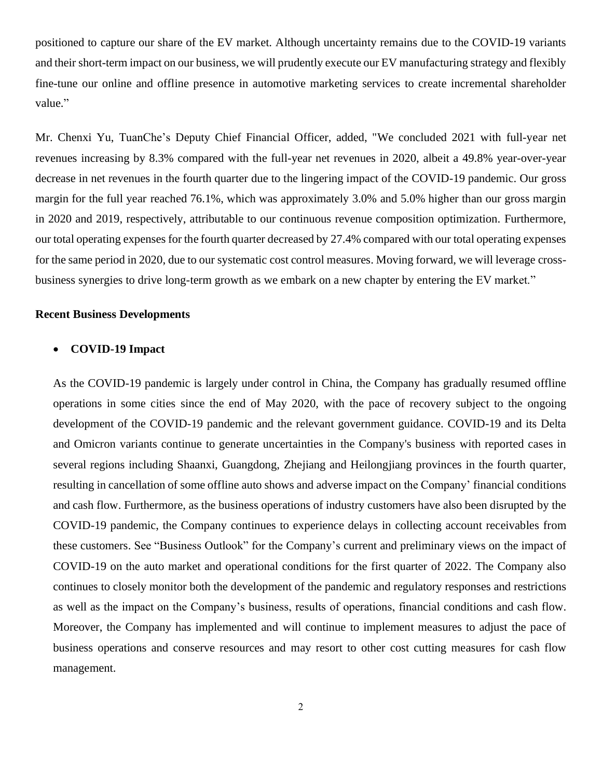positioned to capture our share of the EV market. Although uncertainty remains due to the COVID-19 variants and their short-term impact on our business, we will prudently execute our EV manufacturing strategy and flexibly fine-tune our online and offline presence in automotive marketing services to create incremental shareholder value."

Mr. Chenxi Yu, TuanChe's Deputy Chief Financial Officer, added, "We concluded 2021 with full-year net revenues increasing by 8.3% compared with the full-year net revenues in 2020, albeit a 49.8% year-over-year decrease in net revenues in the fourth quarter due to the lingering impact of the COVID-19 pandemic. Our gross margin for the full year reached 76.1%, which was approximately 3.0% and 5.0% higher than our gross margin in 2020 and 2019, respectively, attributable to our continuous revenue composition optimization. Furthermore, our total operating expenses for the fourth quarter decreased by 27.4% compared with our total operating expenses for the same period in 2020, due to our systematic cost control measures. Moving forward, we will leverage crossbusiness synergies to drive long-term growth as we embark on a new chapter by entering the EV market."

### **Recent Business Developments**

### • **COVID-19 Impact**

As the COVID-19 pandemic is largely under control in China, the Company has gradually resumed offline operations in some cities since the end of May 2020, with the pace of recovery subject to the ongoing development of the COVID-19 pandemic and the relevant government guidance. COVID-19 and its Delta and Omicron variants continue to generate uncertainties in the Company's business with reported cases in several regions including Shaanxi, Guangdong, Zhejiang and Heilongjiang provinces in the fourth quarter, resulting in cancellation of some offline auto shows and adverse impact on the Company' financial conditions and cash flow. Furthermore, as the business operations of industry customers have also been disrupted by the COVID-19 pandemic, the Company continues to experience delays in collecting account receivables from these customers. See "Business Outlook" for the Company's current and preliminary views on the impact of COVID-19 on the auto market and operational conditions for the first quarter of 2022. The Company also continues to closely monitor both the development of the pandemic and regulatory responses and restrictions as well as the impact on the Company's business, results of operations, financial conditions and cash flow. Moreover, the Company has implemented and will continue to implement measures to adjust the pace of business operations and conserve resources and may resort to other cost cutting measures for cash flow management.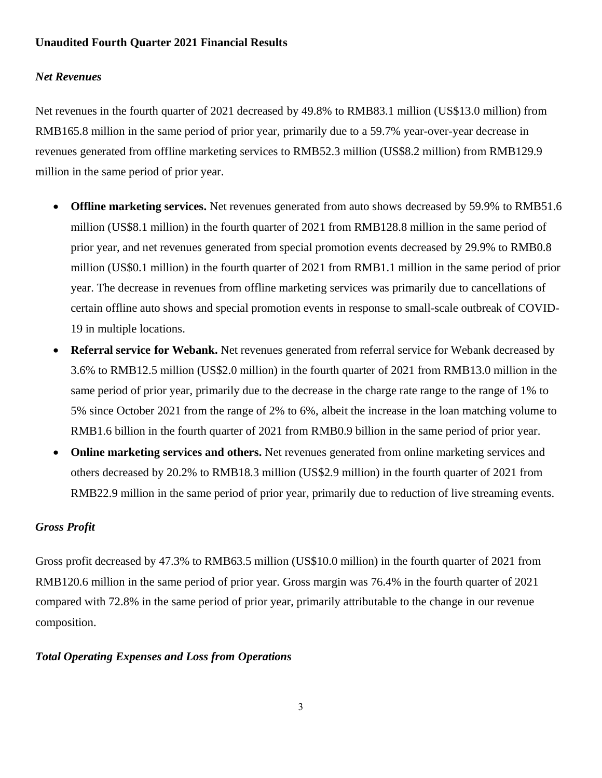# **Unaudited Fourth Quarter 2021 Financial Results**

## *Net Revenues*

Net revenues in the fourth quarter of 2021 decreased by 49.8% to RMB83.1 million (US\$13.0 million) from RMB165.8 million in the same period of prior year, primarily due to a 59.7% year-over-year decrease in revenues generated from offline marketing services to RMB52.3 million (US\$8.2 million) from RMB129.9 million in the same period of prior year.

- **Offline marketing services.** Net revenues generated from auto shows decreased by 59.9% to RMB51.6 million (US\$8.1 million) in the fourth quarter of 2021 from RMB128.8 million in the same period of prior year, and net revenues generated from special promotion events decreased by 29.9% to RMB0.8 million (US\$0.1 million) in the fourth quarter of 2021 from RMB1.1 million in the same period of prior year. The decrease in revenues from offline marketing services was primarily due to cancellations of certain offline auto shows and special promotion events in response to small-scale outbreak of COVID-19 in multiple locations.
- **Referral service for Webank.** Net revenues generated from referral service for Webank decreased by 3.6% to RMB12.5 million (US\$2.0 million) in the fourth quarter of 2021 from RMB13.0 million in the same period of prior year, primarily due to the decrease in the charge rate range to the range of 1% to 5% since October 2021 from the range of 2% to 6%, albeit the increase in the loan matching volume to RMB1.6 billion in the fourth quarter of 2021 from RMB0.9 billion in the same period of prior year.
- **Online marketing services and others.** Net revenues generated from online marketing services and others decreased by 20.2% to RMB18.3 million (US\$2.9 million) in the fourth quarter of 2021 from RMB22.9 million in the same period of prior year, primarily due to reduction of live streaming events.

# *Gross Profit*

Gross profit decreased by 47.3% to RMB63.5 million (US\$10.0 million) in the fourth quarter of 2021 from RMB120.6 million in the same period of prior year. Gross margin was 76.4% in the fourth quarter of 2021 compared with 72.8% in the same period of prior year, primarily attributable to the change in our revenue composition.

## *Total Operating Expenses and Loss from Operations*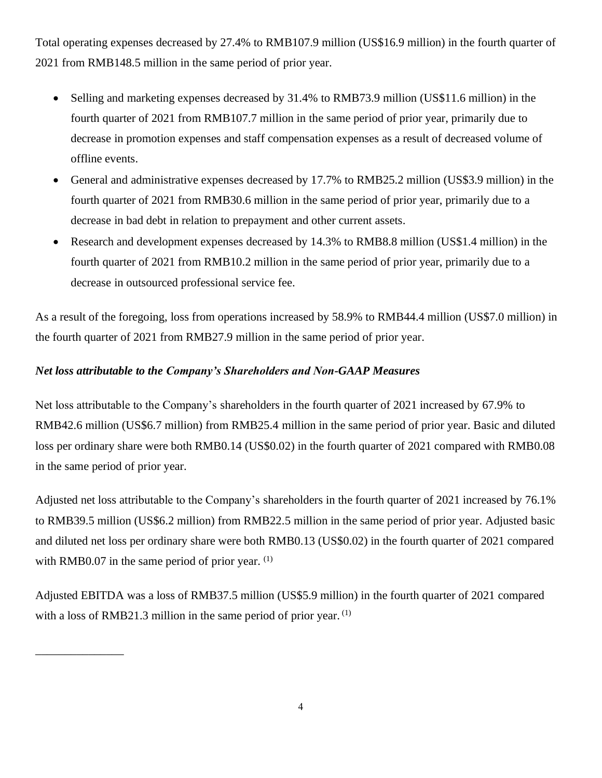Total operating expenses decreased by 27.4% to RMB107.9 million (US\$16.9 million) in the fourth quarter of 2021 from RMB148.5 million in the same period of prior year.

- Selling and marketing expenses decreased by 31.4% to RMB73.9 million (US\$11.6 million) in the fourth quarter of 2021 from RMB107.7 million in the same period of prior year, primarily due to decrease in promotion expenses and staff compensation expenses as a result of decreased volume of offline events.
- General and administrative expenses decreased by 17.7% to RMB25.2 million (US\$3.9 million) in the fourth quarter of 2021 from RMB30.6 million in the same period of prior year, primarily due to a decrease in bad debt in relation to prepayment and other current assets.
- Research and development expenses decreased by 14.3% to RMB8.8 million (US\$1.4 million) in the fourth quarter of 2021 from RMB10.2 million in the same period of prior year, primarily due to a decrease in outsourced professional service fee.

As a result of the foregoing, loss from operations increased by 58.9% to RMB44.4 million (US\$7.0 million) in the fourth quarter of 2021 from RMB27.9 million in the same period of prior year.

# *Net loss attributable to the Company's Shareholders and Non-GAAP Measures*

\_\_\_\_\_\_\_\_\_\_\_\_\_\_\_

Net loss attributable to the Company's shareholders in the fourth quarter of 2021 increased by 67.9% to RMB42.6 million (US\$6.7 million) from RMB25.4 million in the same period of prior year. Basic and diluted loss per ordinary share were both RMB0.14 (US\$0.02) in the fourth quarter of 2021 compared with RMB0.08 in the same period of prior year.

Adjusted net loss attributable to the Company's shareholders in the fourth quarter of 2021 increased by 76.1% to RMB39.5 million (US\$6.2 million) from RMB22.5 million in the same period of prior year. Adjusted basic and diluted net loss per ordinary share were both RMB0.13 (US\$0.02) in the fourth quarter of 2021 compared with RMB0.07 in the same period of prior year.  $(1)$ 

Adjusted EBITDA was a loss of RMB37.5 million (US\$5.9 million) in the fourth quarter of 2021 compared with a loss of RMB21.3 million in the same period of prior year.  $^{(1)}$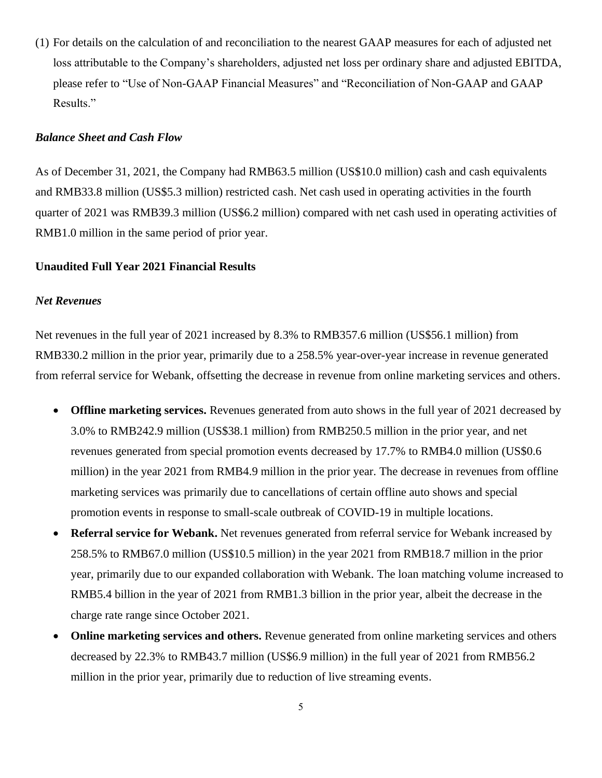<span id="page-4-0"></span>(1) For details on the calculation of and reconciliation to the nearest GAAP measures for each of adjusted net loss attributable to the Company's shareholders, adjusted net loss per ordinary share and adjusted EBITDA, please refer to "Use of Non-GAAP Financial Measures" and "Reconciliation of Non-GAAP and GAAP Results."

### *Balance Sheet and Cash Flow*

As of December 31, 2021, the Company had RMB63.5 million (US\$10.0 million) cash and cash equivalents and RMB33.8 million (US\$5.3 million) restricted cash. Net cash used in operating activities in the fourth quarter of 2021 was RMB39.3 million (US\$6.2 million) compared with net cash used in operating activities of RMB1.0 million in the same period of prior year.

### **Unaudited Full Year 2021 Financial Results**

### *Net Revenues*

Net revenues in the full year of 2021 increased by 8.3% to RMB357.6 million (US\$56.1 million) from RMB330.2 million in the prior year, primarily due to a 258.5% year-over-year increase in revenue generated from referral service for Webank, offsetting the decrease in revenue from online marketing services and others.

- **Offline marketing services.** Revenues generated from auto shows in the full year of 2021 decreased by 3.0% to RMB242.9 million (US\$38.1 million) from RMB250.5 million in the prior year, and net revenues generated from special promotion events decreased by 17.7% to RMB4.0 million (US\$0.6 million) in the year 2021 from RMB4.9 million in the prior year. The decrease in revenues from offline marketing services was primarily due to cancellations of certain offline auto shows and special promotion events in response to small-scale outbreak of COVID-19 in multiple locations.
- **Referral service for Webank.** Net revenues generated from referral service for Webank increased by 258.5% to RMB67.0 million (US\$10.5 million) in the year 2021 from RMB18.7 million in the prior year, primarily due to our expanded collaboration with Webank. The loan matching volume increased to RMB5.4 billion in the year of 2021 from RMB1.3 billion in the prior year, albeit the decrease in the charge rate range since October 2021.
- **Online marketing services and others.** Revenue generated from online marketing services and others decreased by 22.3% to RMB43.7 million (US\$6.9 million) in the full year of 2021 from RMB56.2 million in the prior year, primarily due to reduction of live streaming events.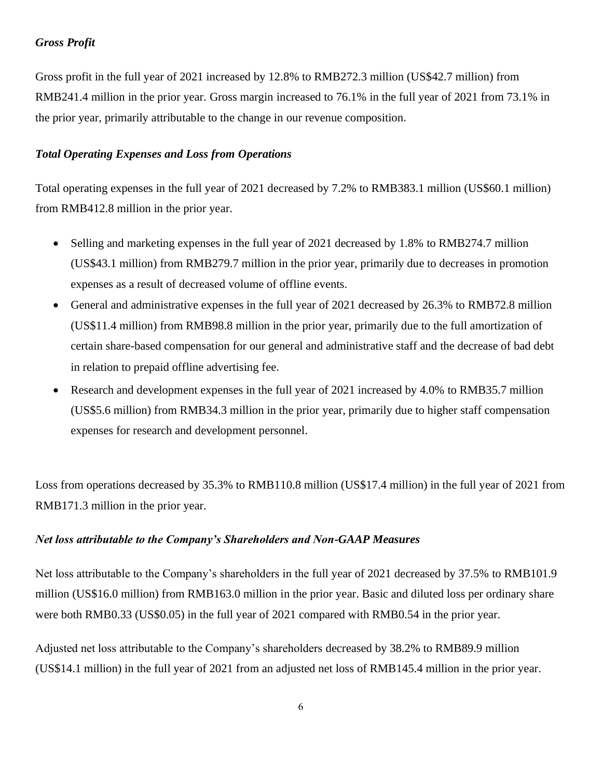# *Gross Profit*

Gross profit in the full year of 2021 increased by 12.8% to RMB272.3 million (US\$42.7 million) from RMB241.4 million in the prior year. Gross margin increased to 76.1% in the full year of 2021 from 73.1% in the prior year, primarily attributable to the change in our revenue composition.

## *Total Operating Expenses and Loss from Operations*

Total operating expenses in the full year of 2021 decreased by 7.2% to RMB383.1 million (US\$60.1 million) from RMB412.8 million in the prior year.

- Selling and marketing expenses in the full year of 2021 decreased by 1.8% to RMB274.7 million (US\$43.1 million) from RMB279.7 million in the prior year, primarily due to decreases in promotion expenses as a result of decreased volume of offline events.
- General and administrative expenses in the full year of 2021 decreased by 26.3% to RMB72.8 million (US\$11.4 million) from RMB98.8 million in the prior year, primarily due to the full amortization of certain share-based compensation for our general and administrative staff and the decrease of bad debt in relation to prepaid offline advertising fee.
- Research and development expenses in the full year of 2021 increased by 4.0% to RMB35.7 million (US\$5.6 million) from RMB34.3 million in the prior year, primarily due to higher staff compensation expenses for research and development personnel.

Loss from operations decreased by 35.3% to RMB110.8 million (US\$17.4 million) in the full year of 2021 from RMB171.3 million in the prior year.

## *Net loss attributable to the Company's Shareholders and Non-GAAP Measures*

Net loss attributable to the Company's shareholders in the full year of 2021 decreased by 37.5% to RMB101.9 million (US\$16.0 million) from RMB163.0 million in the prior year. Basic and diluted loss per ordinary share were both RMB0.33 (US\$0.05) in the full year of 2021 compared with RMB0.54 in the prior year.

Adjusted net loss attributable to the Company's shareholders decreased by 38.2% to RMB89.9 million (US\$14.1 million) in the full year of 2021 from an adjusted net loss of RMB145.4 million in the prior year.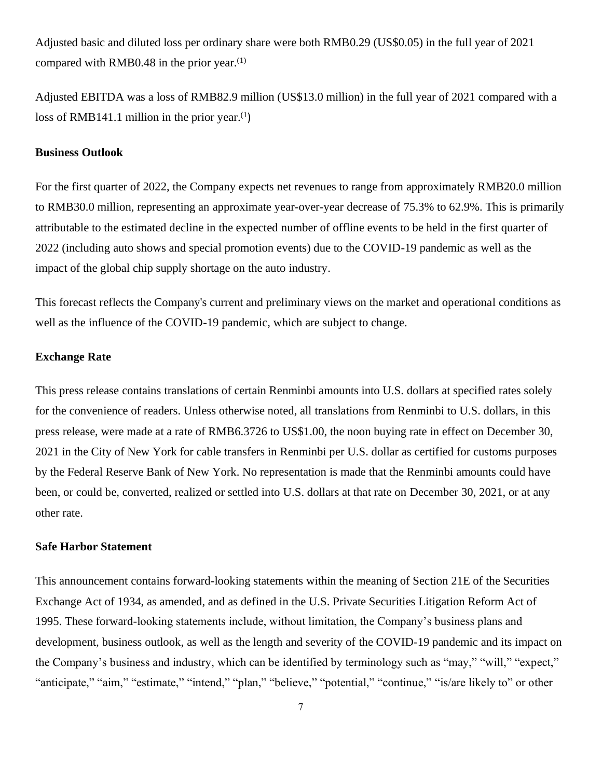Adjusted basic and diluted loss per ordinary share were both RMB0.29 (US\$0.05) in the full year of 2021 compared with RMB0[.](#page-4-0)48 in the prior year. $(1)$ 

Adjusted EBITDA was a loss of RMB82.9 million (US\$13.0 million) in the full year of 2021 compared with a loss of RMB141.1 million in the prior year. $(1)$  $(1)$ 

### **Business Outlook**

For the first quarter of 2022, the Company expects net revenues to range from approximately RMB20.0 million to RMB30.0 million, representing an approximate year-over-year decrease of 75.3% to 62.9%. This is primarily attributable to the estimated decline in the expected number of offline events to be held in the first quarter of 2022 (including auto shows and special promotion events) due to the COVID-19 pandemic as well as the impact of the global chip supply shortage on the auto industry.

This forecast reflects the Company's current and preliminary views on the market and operational conditions as well as the influence of the COVID-19 pandemic, which are subject to change.

# **Exchange Rate**

This press release contains translations of certain Renminbi amounts into U.S. dollars at specified rates solely for the convenience of readers. Unless otherwise noted, all translations from Renminbi to U.S. dollars, in this press release, were made at a rate of RMB6.3726 to US\$1.00, the noon buying rate in effect on December 30, 2021 in the City of New York for cable transfers in Renminbi per U.S. dollar as certified for customs purposes by the Federal Reserve Bank of New York. No representation is made that the Renminbi amounts could have been, or could be, converted, realized or settled into U.S. dollars at that rate on December 30, 2021, or at any other rate.

#### **Safe Harbor Statement**

This announcement contains forward-looking statements within the meaning of Section 21E of the Securities Exchange Act of 1934, as amended, and as defined in the U.S. Private Securities Litigation Reform Act of 1995. These forward-looking statements include, without limitation, the Company's business plans and development, business outlook, as well as the length and severity of the COVID-19 pandemic and its impact on the Company's business and industry, which can be identified by terminology such as "may," "will," "expect," "anticipate," "aim," "estimate," "intend," "plan," "believe," "potential," "continue," "is/are likely to" or other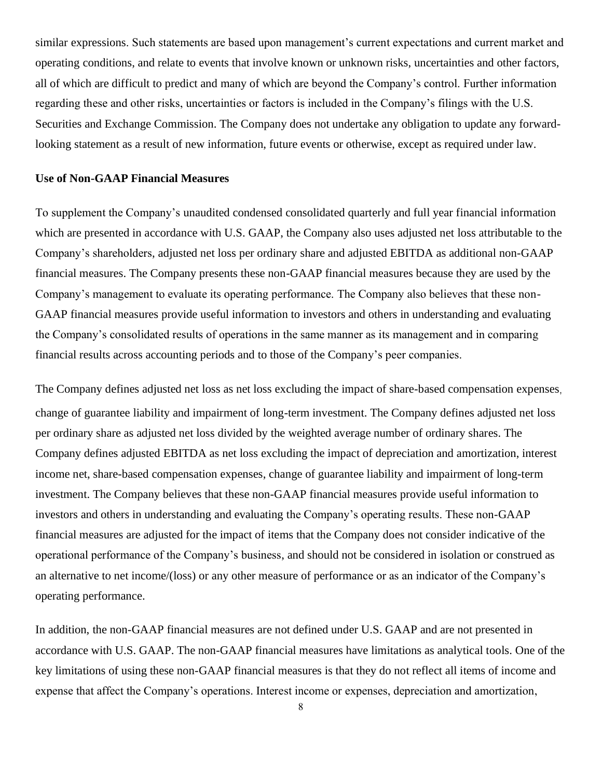similar expressions. Such statements are based upon management's current expectations and current market and operating conditions, and relate to events that involve known or unknown risks, uncertainties and other factors, all of which are difficult to predict and many of which are beyond the Company's control. Further information regarding these and other risks, uncertainties or factors is included in the Company's filings with the U.S. Securities and Exchange Commission. The Company does not undertake any obligation to update any forwardlooking statement as a result of new information, future events or otherwise, except as required under law.

### **Use of Non-GAAP Financial Measures**

To supplement the Company's unaudited condensed consolidated quarterly and full year financial information which are presented in accordance with U.S. GAAP, the Company also uses adjusted net loss attributable to the Company's shareholders, adjusted net loss per ordinary share and adjusted EBITDA as additional non-GAAP financial measures. The Company presents these non-GAAP financial measures because they are used by the Company's management to evaluate its operating performance. The Company also believes that these non-GAAP financial measures provide useful information to investors and others in understanding and evaluating the Company's consolidated results of operations in the same manner as its management and in comparing financial results across accounting periods and to those of the Company's peer companies.

The Company defines adjusted net loss as net loss excluding the impact of share-based compensation expenses, change of guarantee liability and impairment of long-term investment. The Company defines adjusted net loss per ordinary share as adjusted net loss divided by the weighted average number of ordinary shares. The Company defines adjusted EBITDA as net loss excluding the impact of depreciation and amortization, interest income net, share-based compensation expenses, change of guarantee liability and impairment of long-term investment. The Company believes that these non-GAAP financial measures provide useful information to investors and others in understanding and evaluating the Company's operating results. These non-GAAP financial measures are adjusted for the impact of items that the Company does not consider indicative of the operational performance of the Company's business, and should not be considered in isolation or construed as an alternative to net income/(loss) or any other measure of performance or as an indicator of the Company's operating performance.

In addition, the non-GAAP financial measures are not defined under U.S. GAAP and are not presented in accordance with U.S. GAAP. The non-GAAP financial measures have limitations as analytical tools. One of the key limitations of using these non-GAAP financial measures is that they do not reflect all items of income and expense that affect the Company's operations. Interest income or expenses, depreciation and amortization,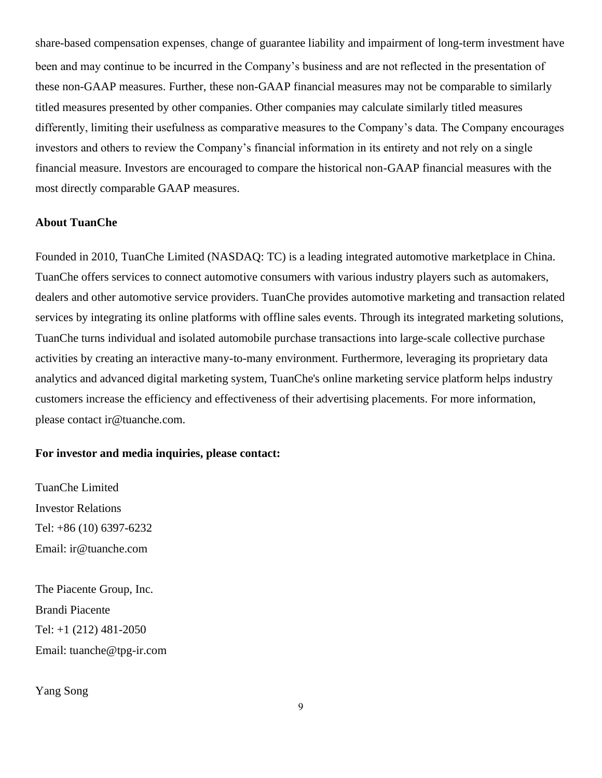share-based compensation expenses, change of guarantee liability and impairment of long-term investment have been and may continue to be incurred in the Company's business and are not reflected in the presentation of these non-GAAP measures. Further, these non-GAAP financial measures may not be comparable to similarly titled measures presented by other companies. Other companies may calculate similarly titled measures differently, limiting their usefulness as comparative measures to the Company's data. The Company encourages investors and others to review the Company's financial information in its entirety and not rely on a single financial measure. Investors are encouraged to compare the historical non-GAAP financial measures with the most directly comparable GAAP measures.

## **About TuanChe**

Founded in 2010, TuanChe Limited (NASDAQ: TC) is a leading integrated automotive marketplace in China. TuanChe offers services to connect automotive consumers with various industry players such as automakers, dealers and other automotive service providers. TuanChe provides automotive marketing and transaction related services by integrating its online platforms with offline sales events. Through its integrated marketing solutions, TuanChe turns individual and isolated automobile purchase transactions into large-scale collective purchase activities by creating an interactive many-to-many environment. Furthermore, leveraging its proprietary data analytics and advanced digital marketing system, TuanChe's online marketing service platform helps industry customers increase the efficiency and effectiveness of their advertising placements. For more information, please contact ir@tuanche.com.

# **For investor and media inquiries, please contact:**

TuanChe Limited Investor Relations Tel: +86 (10) 6397-6232 Email: [ir@tuanche.com](mailto:ir@tuanche.com)

The Piacente Group, Inc. Brandi Piacente Tel: +1 (212) 481-2050 Email: tuanche@tpg-ir.com

Yang Song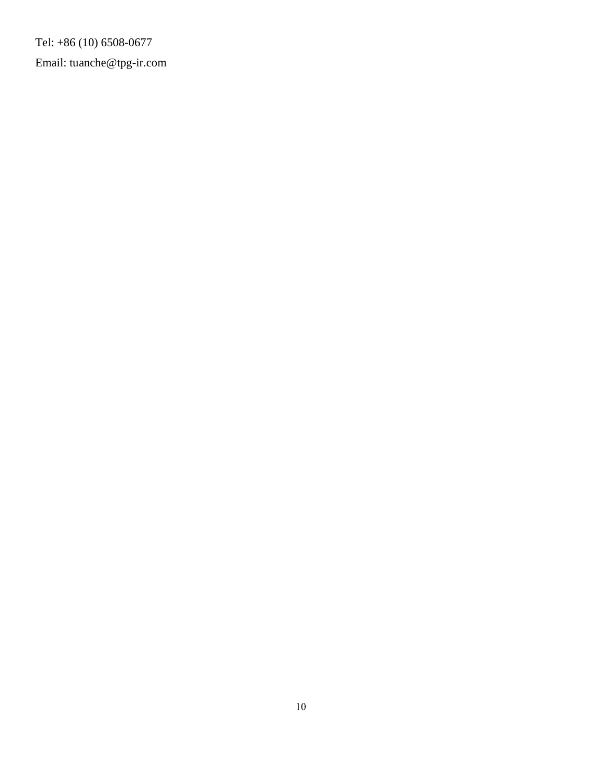Tel: +86 (10) 6508-0677 Email: [tuanche@tpg-ir.com](mailto:tuanche@tpg-ir.com)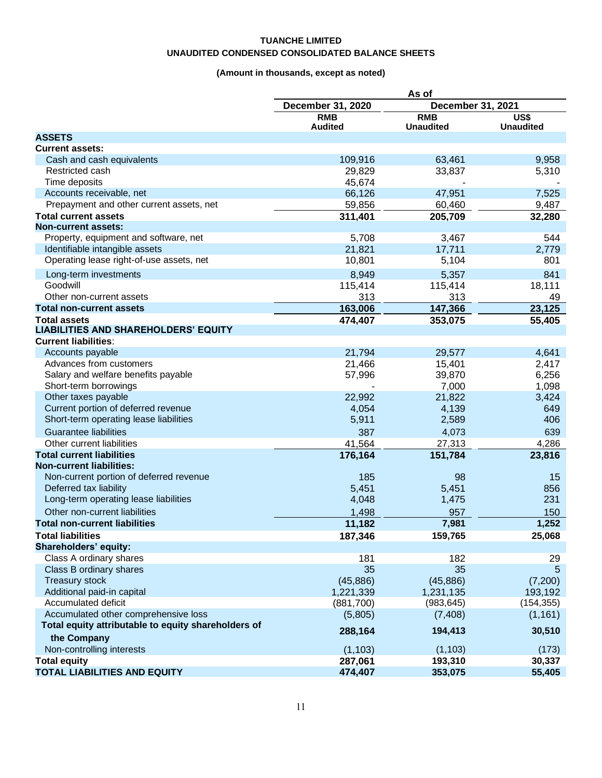### **TUANCHE LIMITED UNAUDITED CONDENSED CONSOLIDATED BALANCE SHEETS**

# **(Amount in thousands, except as noted)**

| December 31, 2020<br>December 31, 2021<br><b>RMB</b><br><b>RMB</b><br>US\$<br><b>Audited</b><br><b>Unaudited</b><br><b>Unaudited</b><br><b>ASSETS</b><br><b>Current assets:</b><br>Cash and cash equivalents<br>109,916<br>63,461<br>9,958<br>5,310<br>Restricted cash<br>29,829<br>33,837<br>Time deposits<br>45,674<br>47,951<br>Accounts receivable, net<br>66,126<br>7,525<br>Prepayment and other current assets, net<br>59,856<br>60,460<br>9,487<br>205,709<br><b>Total current assets</b><br>311,401<br>32,280<br><b>Non-current assets:</b><br>Property, equipment and software, net<br>5,708<br>3,467<br>544<br>21,821<br>Identifiable intangible assets<br>17,711<br>2,779<br>Operating lease right-of-use assets, net<br>10,801<br>5,104<br>801<br>5,357<br>Long-term investments<br>8,949<br>841<br>Goodwill<br>18,111<br>115,414<br>115,414<br>Other non-current assets<br>313<br>313<br>49<br>163,006<br>147,366<br>23,125<br><b>Total non-current assets</b><br>474,407<br>353,075<br>55,405<br><b>Total assets</b><br><b>LIABILITIES AND SHAREHOLDERS' EQUITY</b><br><b>Current liabilities:</b><br>Accounts payable<br>21,794<br>29,577<br>4,641<br>Advances from customers<br>21,466<br>15,401<br>2,417<br>Salary and welfare benefits payable<br>39,870<br>6,256<br>57,996<br>Short-term borrowings<br>1,098<br>7,000<br>Other taxes payable<br>22,992<br>21,822<br>3,424<br>Current portion of deferred revenue<br>4,054<br>4,139<br>649<br>Short-term operating lease liabilities<br>5,911<br>2,589<br>406<br><b>Guarantee liabilities</b><br>4,073<br>387<br>639<br>27,313<br>Other current liabilities<br>4,286<br>41,564<br><b>Total current liabilities</b><br>176,164<br>151,784<br>23,816<br><b>Non-current liabilities:</b><br>Non-current portion of deferred revenue<br>185<br>98<br>15<br>Deferred tax liability<br>5,451<br>5,451<br>856<br>Long-term operating lease liabilities<br>1,475<br>231<br>4,048<br>Other non-current liabilities<br>957<br>1,498<br>150<br>1,252<br>11,182<br>7,981<br><b>Total non-current liabilities</b><br><b>Total liabilities</b><br>187,346<br>159,765<br>25,068<br>Shareholders' equity:<br>Class A ordinary shares<br>182<br>181<br>29<br>Class B ordinary shares<br>35<br>35<br>5<br><b>Treasury stock</b><br>(45, 886)<br>(45, 886)<br>(7,200)<br>Additional paid-in capital<br>1,221,339<br>1,231,135<br>193,192<br>Accumulated deficit<br>(983, 645)<br>(154, 355)<br>(881,700)<br>Accumulated other comprehensive loss<br>(1, 161)<br>(5,805)<br>(7, 408)<br>Total equity attributable to equity shareholders of<br>288,164<br>194,413<br>30,510<br>the Company<br>Non-controlling interests<br>(1, 103)<br>(1, 103)<br>(173)<br><b>Total equity</b><br>287,061<br>193,310<br>30,337 | As of |  |  |
|----------------------------------------------------------------------------------------------------------------------------------------------------------------------------------------------------------------------------------------------------------------------------------------------------------------------------------------------------------------------------------------------------------------------------------------------------------------------------------------------------------------------------------------------------------------------------------------------------------------------------------------------------------------------------------------------------------------------------------------------------------------------------------------------------------------------------------------------------------------------------------------------------------------------------------------------------------------------------------------------------------------------------------------------------------------------------------------------------------------------------------------------------------------------------------------------------------------------------------------------------------------------------------------------------------------------------------------------------------------------------------------------------------------------------------------------------------------------------------------------------------------------------------------------------------------------------------------------------------------------------------------------------------------------------------------------------------------------------------------------------------------------------------------------------------------------------------------------------------------------------------------------------------------------------------------------------------------------------------------------------------------------------------------------------------------------------------------------------------------------------------------------------------------------------------------------------------------------------------------------------------------------------------------------------------------------------------------------------------------------------------------------------------------------------------------------------------------------------------------------------------------------------------------------------------------------------------------------------------------------------------------------------------------------------------------------------------------------------------------------------------------|-------|--|--|
|                                                                                                                                                                                                                                                                                                                                                                                                                                                                                                                                                                                                                                                                                                                                                                                                                                                                                                                                                                                                                                                                                                                                                                                                                                                                                                                                                                                                                                                                                                                                                                                                                                                                                                                                                                                                                                                                                                                                                                                                                                                                                                                                                                                                                                                                                                                                                                                                                                                                                                                                                                                                                                                                                                                                                                |       |  |  |
|                                                                                                                                                                                                                                                                                                                                                                                                                                                                                                                                                                                                                                                                                                                                                                                                                                                                                                                                                                                                                                                                                                                                                                                                                                                                                                                                                                                                                                                                                                                                                                                                                                                                                                                                                                                                                                                                                                                                                                                                                                                                                                                                                                                                                                                                                                                                                                                                                                                                                                                                                                                                                                                                                                                                                                |       |  |  |
|                                                                                                                                                                                                                                                                                                                                                                                                                                                                                                                                                                                                                                                                                                                                                                                                                                                                                                                                                                                                                                                                                                                                                                                                                                                                                                                                                                                                                                                                                                                                                                                                                                                                                                                                                                                                                                                                                                                                                                                                                                                                                                                                                                                                                                                                                                                                                                                                                                                                                                                                                                                                                                                                                                                                                                |       |  |  |
|                                                                                                                                                                                                                                                                                                                                                                                                                                                                                                                                                                                                                                                                                                                                                                                                                                                                                                                                                                                                                                                                                                                                                                                                                                                                                                                                                                                                                                                                                                                                                                                                                                                                                                                                                                                                                                                                                                                                                                                                                                                                                                                                                                                                                                                                                                                                                                                                                                                                                                                                                                                                                                                                                                                                                                |       |  |  |
|                                                                                                                                                                                                                                                                                                                                                                                                                                                                                                                                                                                                                                                                                                                                                                                                                                                                                                                                                                                                                                                                                                                                                                                                                                                                                                                                                                                                                                                                                                                                                                                                                                                                                                                                                                                                                                                                                                                                                                                                                                                                                                                                                                                                                                                                                                                                                                                                                                                                                                                                                                                                                                                                                                                                                                |       |  |  |
|                                                                                                                                                                                                                                                                                                                                                                                                                                                                                                                                                                                                                                                                                                                                                                                                                                                                                                                                                                                                                                                                                                                                                                                                                                                                                                                                                                                                                                                                                                                                                                                                                                                                                                                                                                                                                                                                                                                                                                                                                                                                                                                                                                                                                                                                                                                                                                                                                                                                                                                                                                                                                                                                                                                                                                |       |  |  |
|                                                                                                                                                                                                                                                                                                                                                                                                                                                                                                                                                                                                                                                                                                                                                                                                                                                                                                                                                                                                                                                                                                                                                                                                                                                                                                                                                                                                                                                                                                                                                                                                                                                                                                                                                                                                                                                                                                                                                                                                                                                                                                                                                                                                                                                                                                                                                                                                                                                                                                                                                                                                                                                                                                                                                                |       |  |  |
|                                                                                                                                                                                                                                                                                                                                                                                                                                                                                                                                                                                                                                                                                                                                                                                                                                                                                                                                                                                                                                                                                                                                                                                                                                                                                                                                                                                                                                                                                                                                                                                                                                                                                                                                                                                                                                                                                                                                                                                                                                                                                                                                                                                                                                                                                                                                                                                                                                                                                                                                                                                                                                                                                                                                                                |       |  |  |
|                                                                                                                                                                                                                                                                                                                                                                                                                                                                                                                                                                                                                                                                                                                                                                                                                                                                                                                                                                                                                                                                                                                                                                                                                                                                                                                                                                                                                                                                                                                                                                                                                                                                                                                                                                                                                                                                                                                                                                                                                                                                                                                                                                                                                                                                                                                                                                                                                                                                                                                                                                                                                                                                                                                                                                |       |  |  |
|                                                                                                                                                                                                                                                                                                                                                                                                                                                                                                                                                                                                                                                                                                                                                                                                                                                                                                                                                                                                                                                                                                                                                                                                                                                                                                                                                                                                                                                                                                                                                                                                                                                                                                                                                                                                                                                                                                                                                                                                                                                                                                                                                                                                                                                                                                                                                                                                                                                                                                                                                                                                                                                                                                                                                                |       |  |  |
|                                                                                                                                                                                                                                                                                                                                                                                                                                                                                                                                                                                                                                                                                                                                                                                                                                                                                                                                                                                                                                                                                                                                                                                                                                                                                                                                                                                                                                                                                                                                                                                                                                                                                                                                                                                                                                                                                                                                                                                                                                                                                                                                                                                                                                                                                                                                                                                                                                                                                                                                                                                                                                                                                                                                                                |       |  |  |
|                                                                                                                                                                                                                                                                                                                                                                                                                                                                                                                                                                                                                                                                                                                                                                                                                                                                                                                                                                                                                                                                                                                                                                                                                                                                                                                                                                                                                                                                                                                                                                                                                                                                                                                                                                                                                                                                                                                                                                                                                                                                                                                                                                                                                                                                                                                                                                                                                                                                                                                                                                                                                                                                                                                                                                |       |  |  |
|                                                                                                                                                                                                                                                                                                                                                                                                                                                                                                                                                                                                                                                                                                                                                                                                                                                                                                                                                                                                                                                                                                                                                                                                                                                                                                                                                                                                                                                                                                                                                                                                                                                                                                                                                                                                                                                                                                                                                                                                                                                                                                                                                                                                                                                                                                                                                                                                                                                                                                                                                                                                                                                                                                                                                                |       |  |  |
|                                                                                                                                                                                                                                                                                                                                                                                                                                                                                                                                                                                                                                                                                                                                                                                                                                                                                                                                                                                                                                                                                                                                                                                                                                                                                                                                                                                                                                                                                                                                                                                                                                                                                                                                                                                                                                                                                                                                                                                                                                                                                                                                                                                                                                                                                                                                                                                                                                                                                                                                                                                                                                                                                                                                                                |       |  |  |
|                                                                                                                                                                                                                                                                                                                                                                                                                                                                                                                                                                                                                                                                                                                                                                                                                                                                                                                                                                                                                                                                                                                                                                                                                                                                                                                                                                                                                                                                                                                                                                                                                                                                                                                                                                                                                                                                                                                                                                                                                                                                                                                                                                                                                                                                                                                                                                                                                                                                                                                                                                                                                                                                                                                                                                |       |  |  |
|                                                                                                                                                                                                                                                                                                                                                                                                                                                                                                                                                                                                                                                                                                                                                                                                                                                                                                                                                                                                                                                                                                                                                                                                                                                                                                                                                                                                                                                                                                                                                                                                                                                                                                                                                                                                                                                                                                                                                                                                                                                                                                                                                                                                                                                                                                                                                                                                                                                                                                                                                                                                                                                                                                                                                                |       |  |  |
|                                                                                                                                                                                                                                                                                                                                                                                                                                                                                                                                                                                                                                                                                                                                                                                                                                                                                                                                                                                                                                                                                                                                                                                                                                                                                                                                                                                                                                                                                                                                                                                                                                                                                                                                                                                                                                                                                                                                                                                                                                                                                                                                                                                                                                                                                                                                                                                                                                                                                                                                                                                                                                                                                                                                                                |       |  |  |
|                                                                                                                                                                                                                                                                                                                                                                                                                                                                                                                                                                                                                                                                                                                                                                                                                                                                                                                                                                                                                                                                                                                                                                                                                                                                                                                                                                                                                                                                                                                                                                                                                                                                                                                                                                                                                                                                                                                                                                                                                                                                                                                                                                                                                                                                                                                                                                                                                                                                                                                                                                                                                                                                                                                                                                |       |  |  |
|                                                                                                                                                                                                                                                                                                                                                                                                                                                                                                                                                                                                                                                                                                                                                                                                                                                                                                                                                                                                                                                                                                                                                                                                                                                                                                                                                                                                                                                                                                                                                                                                                                                                                                                                                                                                                                                                                                                                                                                                                                                                                                                                                                                                                                                                                                                                                                                                                                                                                                                                                                                                                                                                                                                                                                |       |  |  |
|                                                                                                                                                                                                                                                                                                                                                                                                                                                                                                                                                                                                                                                                                                                                                                                                                                                                                                                                                                                                                                                                                                                                                                                                                                                                                                                                                                                                                                                                                                                                                                                                                                                                                                                                                                                                                                                                                                                                                                                                                                                                                                                                                                                                                                                                                                                                                                                                                                                                                                                                                                                                                                                                                                                                                                |       |  |  |
|                                                                                                                                                                                                                                                                                                                                                                                                                                                                                                                                                                                                                                                                                                                                                                                                                                                                                                                                                                                                                                                                                                                                                                                                                                                                                                                                                                                                                                                                                                                                                                                                                                                                                                                                                                                                                                                                                                                                                                                                                                                                                                                                                                                                                                                                                                                                                                                                                                                                                                                                                                                                                                                                                                                                                                |       |  |  |
|                                                                                                                                                                                                                                                                                                                                                                                                                                                                                                                                                                                                                                                                                                                                                                                                                                                                                                                                                                                                                                                                                                                                                                                                                                                                                                                                                                                                                                                                                                                                                                                                                                                                                                                                                                                                                                                                                                                                                                                                                                                                                                                                                                                                                                                                                                                                                                                                                                                                                                                                                                                                                                                                                                                                                                |       |  |  |
|                                                                                                                                                                                                                                                                                                                                                                                                                                                                                                                                                                                                                                                                                                                                                                                                                                                                                                                                                                                                                                                                                                                                                                                                                                                                                                                                                                                                                                                                                                                                                                                                                                                                                                                                                                                                                                                                                                                                                                                                                                                                                                                                                                                                                                                                                                                                                                                                                                                                                                                                                                                                                                                                                                                                                                |       |  |  |
|                                                                                                                                                                                                                                                                                                                                                                                                                                                                                                                                                                                                                                                                                                                                                                                                                                                                                                                                                                                                                                                                                                                                                                                                                                                                                                                                                                                                                                                                                                                                                                                                                                                                                                                                                                                                                                                                                                                                                                                                                                                                                                                                                                                                                                                                                                                                                                                                                                                                                                                                                                                                                                                                                                                                                                |       |  |  |
|                                                                                                                                                                                                                                                                                                                                                                                                                                                                                                                                                                                                                                                                                                                                                                                                                                                                                                                                                                                                                                                                                                                                                                                                                                                                                                                                                                                                                                                                                                                                                                                                                                                                                                                                                                                                                                                                                                                                                                                                                                                                                                                                                                                                                                                                                                                                                                                                                                                                                                                                                                                                                                                                                                                                                                |       |  |  |
|                                                                                                                                                                                                                                                                                                                                                                                                                                                                                                                                                                                                                                                                                                                                                                                                                                                                                                                                                                                                                                                                                                                                                                                                                                                                                                                                                                                                                                                                                                                                                                                                                                                                                                                                                                                                                                                                                                                                                                                                                                                                                                                                                                                                                                                                                                                                                                                                                                                                                                                                                                                                                                                                                                                                                                |       |  |  |
|                                                                                                                                                                                                                                                                                                                                                                                                                                                                                                                                                                                                                                                                                                                                                                                                                                                                                                                                                                                                                                                                                                                                                                                                                                                                                                                                                                                                                                                                                                                                                                                                                                                                                                                                                                                                                                                                                                                                                                                                                                                                                                                                                                                                                                                                                                                                                                                                                                                                                                                                                                                                                                                                                                                                                                |       |  |  |
|                                                                                                                                                                                                                                                                                                                                                                                                                                                                                                                                                                                                                                                                                                                                                                                                                                                                                                                                                                                                                                                                                                                                                                                                                                                                                                                                                                                                                                                                                                                                                                                                                                                                                                                                                                                                                                                                                                                                                                                                                                                                                                                                                                                                                                                                                                                                                                                                                                                                                                                                                                                                                                                                                                                                                                |       |  |  |
|                                                                                                                                                                                                                                                                                                                                                                                                                                                                                                                                                                                                                                                                                                                                                                                                                                                                                                                                                                                                                                                                                                                                                                                                                                                                                                                                                                                                                                                                                                                                                                                                                                                                                                                                                                                                                                                                                                                                                                                                                                                                                                                                                                                                                                                                                                                                                                                                                                                                                                                                                                                                                                                                                                                                                                |       |  |  |
|                                                                                                                                                                                                                                                                                                                                                                                                                                                                                                                                                                                                                                                                                                                                                                                                                                                                                                                                                                                                                                                                                                                                                                                                                                                                                                                                                                                                                                                                                                                                                                                                                                                                                                                                                                                                                                                                                                                                                                                                                                                                                                                                                                                                                                                                                                                                                                                                                                                                                                                                                                                                                                                                                                                                                                |       |  |  |
|                                                                                                                                                                                                                                                                                                                                                                                                                                                                                                                                                                                                                                                                                                                                                                                                                                                                                                                                                                                                                                                                                                                                                                                                                                                                                                                                                                                                                                                                                                                                                                                                                                                                                                                                                                                                                                                                                                                                                                                                                                                                                                                                                                                                                                                                                                                                                                                                                                                                                                                                                                                                                                                                                                                                                                |       |  |  |
|                                                                                                                                                                                                                                                                                                                                                                                                                                                                                                                                                                                                                                                                                                                                                                                                                                                                                                                                                                                                                                                                                                                                                                                                                                                                                                                                                                                                                                                                                                                                                                                                                                                                                                                                                                                                                                                                                                                                                                                                                                                                                                                                                                                                                                                                                                                                                                                                                                                                                                                                                                                                                                                                                                                                                                |       |  |  |
|                                                                                                                                                                                                                                                                                                                                                                                                                                                                                                                                                                                                                                                                                                                                                                                                                                                                                                                                                                                                                                                                                                                                                                                                                                                                                                                                                                                                                                                                                                                                                                                                                                                                                                                                                                                                                                                                                                                                                                                                                                                                                                                                                                                                                                                                                                                                                                                                                                                                                                                                                                                                                                                                                                                                                                |       |  |  |
|                                                                                                                                                                                                                                                                                                                                                                                                                                                                                                                                                                                                                                                                                                                                                                                                                                                                                                                                                                                                                                                                                                                                                                                                                                                                                                                                                                                                                                                                                                                                                                                                                                                                                                                                                                                                                                                                                                                                                                                                                                                                                                                                                                                                                                                                                                                                                                                                                                                                                                                                                                                                                                                                                                                                                                |       |  |  |
|                                                                                                                                                                                                                                                                                                                                                                                                                                                                                                                                                                                                                                                                                                                                                                                                                                                                                                                                                                                                                                                                                                                                                                                                                                                                                                                                                                                                                                                                                                                                                                                                                                                                                                                                                                                                                                                                                                                                                                                                                                                                                                                                                                                                                                                                                                                                                                                                                                                                                                                                                                                                                                                                                                                                                                |       |  |  |
|                                                                                                                                                                                                                                                                                                                                                                                                                                                                                                                                                                                                                                                                                                                                                                                                                                                                                                                                                                                                                                                                                                                                                                                                                                                                                                                                                                                                                                                                                                                                                                                                                                                                                                                                                                                                                                                                                                                                                                                                                                                                                                                                                                                                                                                                                                                                                                                                                                                                                                                                                                                                                                                                                                                                                                |       |  |  |
|                                                                                                                                                                                                                                                                                                                                                                                                                                                                                                                                                                                                                                                                                                                                                                                                                                                                                                                                                                                                                                                                                                                                                                                                                                                                                                                                                                                                                                                                                                                                                                                                                                                                                                                                                                                                                                                                                                                                                                                                                                                                                                                                                                                                                                                                                                                                                                                                                                                                                                                                                                                                                                                                                                                                                                |       |  |  |
|                                                                                                                                                                                                                                                                                                                                                                                                                                                                                                                                                                                                                                                                                                                                                                                                                                                                                                                                                                                                                                                                                                                                                                                                                                                                                                                                                                                                                                                                                                                                                                                                                                                                                                                                                                                                                                                                                                                                                                                                                                                                                                                                                                                                                                                                                                                                                                                                                                                                                                                                                                                                                                                                                                                                                                |       |  |  |
|                                                                                                                                                                                                                                                                                                                                                                                                                                                                                                                                                                                                                                                                                                                                                                                                                                                                                                                                                                                                                                                                                                                                                                                                                                                                                                                                                                                                                                                                                                                                                                                                                                                                                                                                                                                                                                                                                                                                                                                                                                                                                                                                                                                                                                                                                                                                                                                                                                                                                                                                                                                                                                                                                                                                                                |       |  |  |
|                                                                                                                                                                                                                                                                                                                                                                                                                                                                                                                                                                                                                                                                                                                                                                                                                                                                                                                                                                                                                                                                                                                                                                                                                                                                                                                                                                                                                                                                                                                                                                                                                                                                                                                                                                                                                                                                                                                                                                                                                                                                                                                                                                                                                                                                                                                                                                                                                                                                                                                                                                                                                                                                                                                                                                |       |  |  |
|                                                                                                                                                                                                                                                                                                                                                                                                                                                                                                                                                                                                                                                                                                                                                                                                                                                                                                                                                                                                                                                                                                                                                                                                                                                                                                                                                                                                                                                                                                                                                                                                                                                                                                                                                                                                                                                                                                                                                                                                                                                                                                                                                                                                                                                                                                                                                                                                                                                                                                                                                                                                                                                                                                                                                                |       |  |  |
|                                                                                                                                                                                                                                                                                                                                                                                                                                                                                                                                                                                                                                                                                                                                                                                                                                                                                                                                                                                                                                                                                                                                                                                                                                                                                                                                                                                                                                                                                                                                                                                                                                                                                                                                                                                                                                                                                                                                                                                                                                                                                                                                                                                                                                                                                                                                                                                                                                                                                                                                                                                                                                                                                                                                                                |       |  |  |
|                                                                                                                                                                                                                                                                                                                                                                                                                                                                                                                                                                                                                                                                                                                                                                                                                                                                                                                                                                                                                                                                                                                                                                                                                                                                                                                                                                                                                                                                                                                                                                                                                                                                                                                                                                                                                                                                                                                                                                                                                                                                                                                                                                                                                                                                                                                                                                                                                                                                                                                                                                                                                                                                                                                                                                |       |  |  |
|                                                                                                                                                                                                                                                                                                                                                                                                                                                                                                                                                                                                                                                                                                                                                                                                                                                                                                                                                                                                                                                                                                                                                                                                                                                                                                                                                                                                                                                                                                                                                                                                                                                                                                                                                                                                                                                                                                                                                                                                                                                                                                                                                                                                                                                                                                                                                                                                                                                                                                                                                                                                                                                                                                                                                                |       |  |  |
|                                                                                                                                                                                                                                                                                                                                                                                                                                                                                                                                                                                                                                                                                                                                                                                                                                                                                                                                                                                                                                                                                                                                                                                                                                                                                                                                                                                                                                                                                                                                                                                                                                                                                                                                                                                                                                                                                                                                                                                                                                                                                                                                                                                                                                                                                                                                                                                                                                                                                                                                                                                                                                                                                                                                                                |       |  |  |
|                                                                                                                                                                                                                                                                                                                                                                                                                                                                                                                                                                                                                                                                                                                                                                                                                                                                                                                                                                                                                                                                                                                                                                                                                                                                                                                                                                                                                                                                                                                                                                                                                                                                                                                                                                                                                                                                                                                                                                                                                                                                                                                                                                                                                                                                                                                                                                                                                                                                                                                                                                                                                                                                                                                                                                |       |  |  |
|                                                                                                                                                                                                                                                                                                                                                                                                                                                                                                                                                                                                                                                                                                                                                                                                                                                                                                                                                                                                                                                                                                                                                                                                                                                                                                                                                                                                                                                                                                                                                                                                                                                                                                                                                                                                                                                                                                                                                                                                                                                                                                                                                                                                                                                                                                                                                                                                                                                                                                                                                                                                                                                                                                                                                                |       |  |  |
|                                                                                                                                                                                                                                                                                                                                                                                                                                                                                                                                                                                                                                                                                                                                                                                                                                                                                                                                                                                                                                                                                                                                                                                                                                                                                                                                                                                                                                                                                                                                                                                                                                                                                                                                                                                                                                                                                                                                                                                                                                                                                                                                                                                                                                                                                                                                                                                                                                                                                                                                                                                                                                                                                                                                                                |       |  |  |
|                                                                                                                                                                                                                                                                                                                                                                                                                                                                                                                                                                                                                                                                                                                                                                                                                                                                                                                                                                                                                                                                                                                                                                                                                                                                                                                                                                                                                                                                                                                                                                                                                                                                                                                                                                                                                                                                                                                                                                                                                                                                                                                                                                                                                                                                                                                                                                                                                                                                                                                                                                                                                                                                                                                                                                |       |  |  |
| <b>TOTAL LIABILITIES AND EQUITY</b><br>353,075<br>55,405<br>474,407                                                                                                                                                                                                                                                                                                                                                                                                                                                                                                                                                                                                                                                                                                                                                                                                                                                                                                                                                                                                                                                                                                                                                                                                                                                                                                                                                                                                                                                                                                                                                                                                                                                                                                                                                                                                                                                                                                                                                                                                                                                                                                                                                                                                                                                                                                                                                                                                                                                                                                                                                                                                                                                                                            |       |  |  |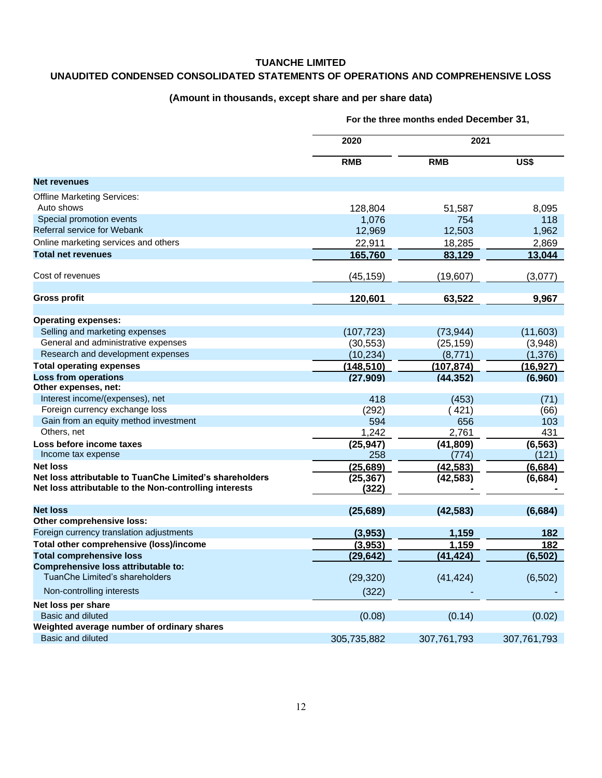#### **TUANCHE LIMITED**

# **UNAUDITED CONDENSED CONSOLIDATED STATEMENTS OF OPERATIONS AND COMPREHENSIVE LOSS**

### **(Amount in thousands, except share and per share data)**

|                                                         | 2020<br><b>RMB</b> | 2021        |             |
|---------------------------------------------------------|--------------------|-------------|-------------|
|                                                         |                    | <b>RMB</b>  | US\$        |
| Net revenues                                            |                    |             |             |
| <b>Offline Marketing Services:</b>                      |                    |             |             |
| Auto shows                                              | 128,804            | 51,587      | 8,095       |
| Special promotion events                                | 1,076              | 754         | 118         |
| Referral service for Webank                             | 12,969             | 12,503      | 1,962       |
| Online marketing services and others                    | 22,911             | 18,285      | 2,869       |
| <b>Total net revenues</b>                               | 165,760            | 83,129      | 13,044      |
| Cost of revenues                                        | (45, 159)          | (19, 607)   | (3,077)     |
| <b>Gross profit</b>                                     | 120,601            | 63,522      | 9,967       |
|                                                         |                    |             |             |
| <b>Operating expenses:</b>                              |                    |             |             |
| Selling and marketing expenses                          | (107, 723)         | (73, 944)   | (11,603)    |
| General and administrative expenses                     | (30, 553)          | (25, 159)   | (3,948)     |
| Research and development expenses                       | (10, 234)          | (8, 771)    | (1, 376)    |
| <b>Total operating expenses</b>                         | (148, 510)         | (107, 874)  | (16, 927)   |
| <b>Loss from operations</b>                             | (27, 909)          | (44, 352)   | (6,960)     |
| Other expenses, net:                                    |                    |             |             |
| Interest income/(expenses), net                         | 418                | (453)       | (71)        |
| Foreign currency exchange loss                          | (292)              | (421)       | (66)        |
| Gain from an equity method investment                   | 594                | 656         | 103         |
| Others, net                                             | 1,242              | 2,761       | 431         |
| Loss before income taxes                                | (25, 947)          | (41, 809)   | (6, 563)    |
| Income tax expense                                      | 258                | (774)       | (121)       |
| <b>Net loss</b>                                         | (25, 689)          | (42, 583)   | (6,684)     |
| Net loss attributable to TuanChe Limited's shareholders | (25, 367)          | (42, 583)   | (6,684)     |
| Net loss attributable to the Non-controlling interests  | (322)              |             |             |
| <b>Net loss</b>                                         | (25, 689)          | (42, 583)   | (6,684)     |
| Other comprehensive loss:                               |                    |             |             |
| Foreign currency translation adjustments                | (3,953)            | 1,159       | 182         |
| Total other comprehensive (loss)/income                 | (3,953)            | 1,159       | 182         |
| <b>Total comprehensive loss</b>                         | (29, 642)          | (41, 424)   | (6, 502)    |
| Comprehensive loss attributable to:                     |                    |             |             |
| TuanChe Limited's shareholders                          | (29, 320)          | (41, 424)   | (6, 502)    |
| Non-controlling interests                               | (322)              |             |             |
| Net loss per share                                      |                    |             |             |
| Basic and diluted                                       | (0.08)             | (0.14)      | (0.02)      |
| Weighted average number of ordinary shares              |                    |             |             |
| Basic and diluted                                       | 305,735,882        | 307,761,793 | 307,761,793 |

**For the three months ended December 31,**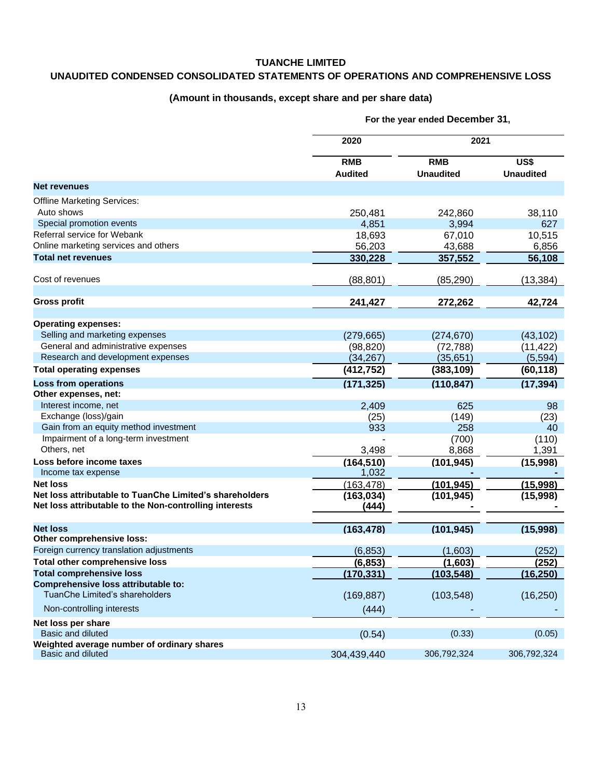#### **TUANCHE LIMITED**

# **UNAUDITED CONDENSED CONSOLIDATED STATEMENTS OF OPERATIONS AND COMPREHENSIVE LOSS**

### **(Amount in thousands, except share and per share data)**

|                                                                       | 2020           | 2021             |                  |
|-----------------------------------------------------------------------|----------------|------------------|------------------|
|                                                                       | <b>RMB</b>     | <b>RMB</b>       | US\$             |
|                                                                       | <b>Audited</b> | <b>Unaudited</b> | <b>Unaudited</b> |
| <b>Net revenues</b>                                                   |                |                  |                  |
| <b>Offline Marketing Services:</b>                                    |                |                  |                  |
| Auto shows                                                            | 250,481        | 242,860          | 38,110           |
| Special promotion events                                              | 4,851          | 3,994            | 627              |
| Referral service for Webank                                           | 18,693         | 67,010           | 10,515           |
| Online marketing services and others                                  | 56,203         | 43,688           | 6,856            |
| <b>Total net revenues</b>                                             | 330,228        | 357,552          | 56,108           |
| Cost of revenues                                                      | (88, 801)      | (85, 290)        | (13, 384)        |
| Gross profit                                                          | 241,427        | 272,262          | 42,724           |
|                                                                       |                |                  |                  |
| <b>Operating expenses:</b>                                            |                |                  |                  |
| Selling and marketing expenses                                        | (279, 665)     | (274, 670)       | (43, 102)        |
| General and administrative expenses                                   | (98, 820)      | (72, 788)        | (11, 422)        |
| Research and development expenses                                     | (34, 267)      | (35, 651)        | (5, 594)         |
| <b>Total operating expenses</b>                                       | (412, 752)     | (383, 109)       | (60, 118)        |
| <b>Loss from operations</b>                                           | (171, 325)     | (110, 847)       | (17, 394)        |
| Other expenses, net:                                                  |                |                  |                  |
| Interest income, net                                                  | 2,409          | 625              | 98               |
| Exchange (loss)/gain                                                  | (25)           | (149)            | (23)             |
| Gain from an equity method investment                                 | 933            | 258              | 40               |
| Impairment of a long-term investment                                  |                | (700)            | (110)            |
| Others, net                                                           | 3,498          | 8,868            | 1,391            |
| Loss before income taxes                                              | (164, 510)     | (101, 945)       | (15,998)         |
| Income tax expense                                                    | 1,032          |                  |                  |
| <b>Net loss</b>                                                       | (163, 478)     | (101, 945)       | (15,998)         |
| Net loss attributable to TuanChe Limited's shareholders               | (163, 034)     | (101, 945)       | (15,998)         |
| Net loss attributable to the Non-controlling interests                | (444)          |                  |                  |
| <b>Net loss</b>                                                       | (163, 478)     | (101, 945)       | (15,998)         |
| Other comprehensive loss:                                             |                |                  |                  |
| Foreign currency translation adjustments                              | (6, 853)       | (1,603)          | (252)            |
| <b>Total other comprehensive loss</b>                                 | (6.853)        | (1.603)          | (252)            |
| <b>Total comprehensive loss</b>                                       | (170, 331)     | (103, 548)       | (16, 250)        |
| Comprehensive loss attributable to:<br>TuanChe Limited's shareholders |                |                  |                  |
|                                                                       | (169, 887)     | (103, 548)       | (16, 250)        |
| Non-controlling interests                                             | (444)          |                  |                  |
| Net loss per share                                                    |                |                  |                  |
| Basic and diluted                                                     | (0.54)         | (0.33)           | (0.05)           |
| Weighted average number of ordinary shares<br>Basic and diluted       | 304,439,440    | 306,792,324      | 306,792,324      |

**For the year ended December 31,**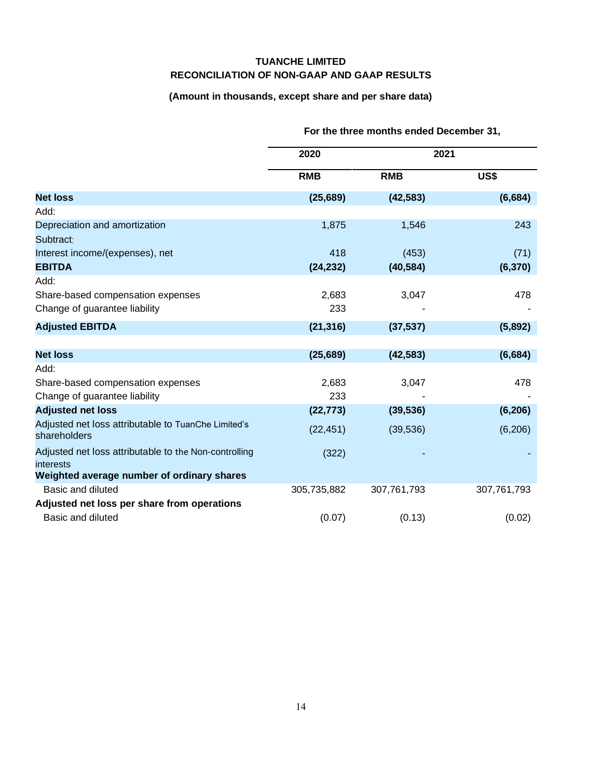## **TUANCHE LIMITED RECONCILIATION OF NON-GAAP AND GAAP RESULTS**

# **(Amount in thousands, except share and per share data)**

|                                                                     | 2020        | 2021        |             |
|---------------------------------------------------------------------|-------------|-------------|-------------|
|                                                                     | <b>RMB</b>  | <b>RMB</b>  | US\$        |
| <b>Net loss</b>                                                     | (25, 689)   | (42, 583)   | (6,684)     |
| Add:                                                                |             |             |             |
| Depreciation and amortization                                       | 1,875       | 1,546       | 243         |
| Subtract:                                                           |             |             |             |
| Interest income/(expenses), net                                     | 418         | (453)       | (71)        |
| <b>EBITDA</b>                                                       | (24, 232)   | (40, 584)   | (6, 370)    |
| Add:                                                                |             |             |             |
| Share-based compensation expenses                                   | 2,683       | 3,047       | 478         |
| Change of guarantee liability                                       | 233         |             |             |
| <b>Adjusted EBITDA</b>                                              | (21, 316)   | (37, 537)   | (5,892)     |
|                                                                     |             |             |             |
| <b>Net loss</b>                                                     | (25, 689)   | (42, 583)   | (6,684)     |
| Add:                                                                |             |             |             |
| Share-based compensation expenses                                   | 2,683       | 3,047       | 478         |
| Change of guarantee liability                                       | 233         |             |             |
| <b>Adjusted net loss</b>                                            | (22, 773)   | (39, 536)   | (6, 206)    |
| Adjusted net loss attributable to TuanChe Limited's<br>shareholders | (22, 451)   | (39, 536)   | (6, 206)    |
| Adjusted net loss attributable to the Non-controlling<br>interests  | (322)       |             |             |
| Weighted average number of ordinary shares                          |             |             |             |
| Basic and diluted                                                   | 305,735,882 | 307,761,793 | 307,761,793 |
| Adjusted net loss per share from operations                         |             |             |             |
| Basic and diluted                                                   | (0.07)      | (0.13)      | (0.02)      |